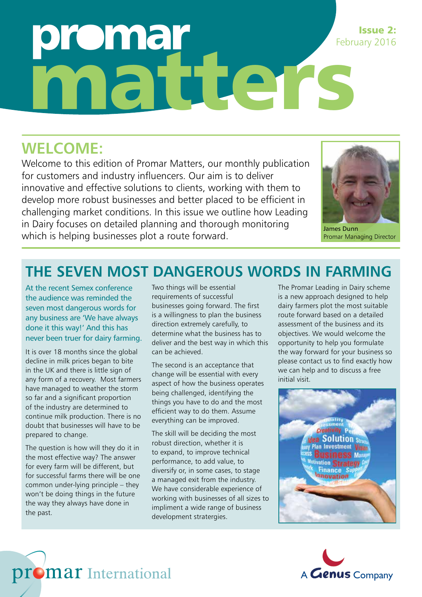# omar ahu de re Issue 2: February 2016

## **WELCOME:**

Welcome to this edition of Promar Matters, our monthly publication for customers and industry influencers. Our aim is to deliver innovative and effective solutions to clients, working with them to develop more robust businesses and better placed to be efficient in challenging market conditions. In this issue we outline how Leading in Dairy focuses on detailed planning and thorough monitoring which is helping businesses plot a route forward.



James Dunn Promar Managing Director

## **THE SEVEN MOST DANGEROUS WORDS IN FARMING**

At the recent Semex conference the audience was reminded the seven most dangerous words for any business are 'We have always done it this way!' And this has never been truer for dairy farming.

It is over 18 months since the global decline in milk prices began to bite in the UK and there is little sign of any form of a recovery. Most farmers have managed to weather the storm so far and a significant proportion of the industry are determined to continue milk production. There is no doubt that businesses will have to be prepared to change.

The question is how will they do it in the most effective way? The answer for every farm will be different, but for successful farms there will be one common under-lying principle – they won't be doing things in the future the way they always have done in the past.

promar International

Two things will be essential requirements of successful businesses going forward. The first is a willingness to plan the business direction extremely carefully, to determine what the business has to deliver and the best way in which this can be achieved.

The second is an acceptance that change will be essential with every aspect of how the business operates being challenged, identifying the things you have to do and the most efficient way to do them. Assume everything can be improved.

The skill will be deciding the most robust direction, whether it is to expand, to improve technical performance, to add value, to diversify or, in some cases, to stage a managed exit from the industry. We have considerable experience of working with businesses of all sizes to impliment a wide range of business development stratergies.

The Promar Leading in Dairy scheme is a new approach designed to help dairy farmers plot the most suitable route forward based on a detailed assessment of the business and its objectives. We would welcome the opportunity to help you formulate the way forward for your business so please contact us to find exactly how we can help and to discuss a free initial visit.